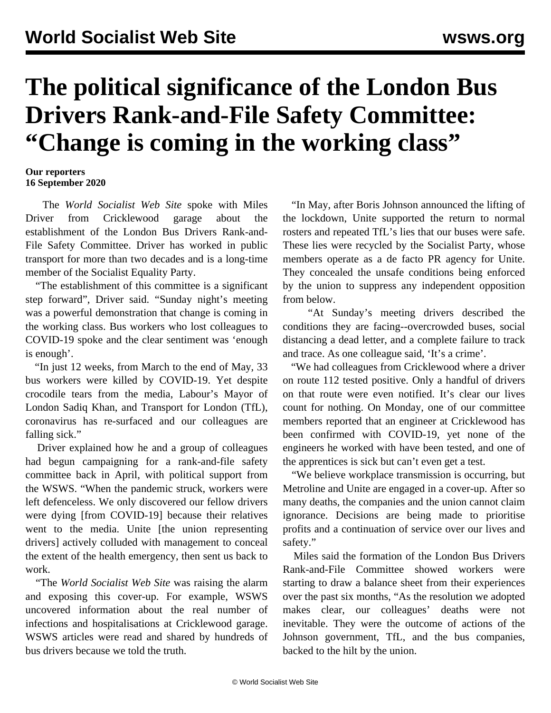## **The political significance of the London Bus Drivers Rank-and-File Safety Committee: "Change is coming in the working class"**

**Our reporters 16 September 2020**

 The *World Socialist Web Site* spoke with Miles Driver from Cricklewood garage about the establishment of the London Bus Drivers Rank-and-File Safety Committee. Driver has worked in public transport for more than two decades and is a long-time member of the Socialist Equality Party.

 "The establishment of this committee is a significant step forward", Driver said. "Sunday night's meeting was a powerful demonstration that change is coming in the working class. Bus workers who lost colleagues to COVID-19 spoke and the clear sentiment was 'enough is enough'.

 "In just 12 weeks, from March to the end of May, 33 bus workers were killed by COVID-19. Yet despite crocodile tears from the media, Labour's Mayor of London Sadiq Khan, and Transport for London (TfL), coronavirus has re-surfaced and our colleagues are falling sick."

 Driver explained how he and a group of colleagues had begun campaigning for a rank-and-file safety committee back in April, with political support from the WSWS. "When the pandemic struck, workers were left defenceless. We only discovered our fellow drivers were dying [from COVID-19] because their relatives went to the media. Unite [the union representing drivers] actively colluded with management to conceal the extent of the health emergency, then sent us back to work.

 "The *World Socialist Web Site* was raising the alarm and exposing this cover-up. For example, WSWS uncovered information about the real number of infections and hospitalisations at Cricklewood garage. WSWS articles were read and shared by hundreds of bus drivers because we told the truth.

 "In May, after Boris Johnson announced the lifting of the lockdown, Unite supported the return to normal rosters and repeated TfL's lies that our buses were safe. These lies were recycled by the Socialist Party, whose members operate as a de facto PR agency for Unite. They concealed the unsafe conditions being enforced by the union to suppress any independent opposition from below.

 "At Sunday's meeting drivers described the conditions they are facing--overcrowded buses, social distancing a dead letter, and a complete failure to track and trace. As one colleague said, 'It's a crime'.

 "We had colleagues from Cricklewood where a driver on route 112 tested positive. Only a handful of drivers on that route were even notified. It's clear our lives count for nothing. On Monday, one of our committee members reported that an engineer at Cricklewood has been confirmed with COVID-19, yet none of the engineers he worked with have been tested, and one of the apprentices is sick but can't even get a test.

 "We believe workplace transmission is occurring, but Metroline and Unite are engaged in a cover-up. After so many deaths, the companies and the union cannot claim ignorance. Decisions are being made to prioritise profits and a continuation of service over our lives and safety."

 Miles said the formation of the London Bus Drivers Rank-and-File Committee showed workers were starting to draw a balance sheet from their experiences over the past six months, "As the [resolution](/en/articles/2020/09/16/rafm-s16.html) we adopted makes clear, our colleagues' deaths were not inevitable. They were the outcome of actions of the Johnson government, TfL, and the bus companies, backed to the hilt by the union.